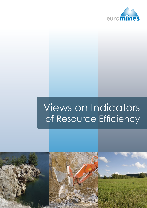

# Views on Indicators of Resource Efficiency

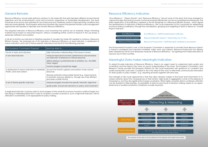# General Remarks

Resource Efficiency should yield optimum solutions to the trade-offs that exist between different environmental objectives and the environmental, social and economic imperatives of Sustainable Development. The result should be an economy that optimises its use of resources and, therefore, results in improved living conditions and reduced waste globally. The European extractive industries fully support the premise that life cycle management approaches are required to describe and monitor Resource Efficiency.

The adopted indicators of Resource Efficiency must incentivise the *optimal use* of materials. Simply minimising *material inputs* based on presumed impacts, without considering further control of impacts in the use phase, is extremely inefficient and wasteful.

A full set of bottom-up indicators is therefore required to visualise the trade-offs needed to achieve a Resource Efficient Europe. The proposed set of EU indicators of Resource Efficiency (a lead indicator; a dashboard of macro indicators; and a set of theme specific indicators) must be fit for the following purposes:

| The European Commission Proposal                                        | Must be Able to                                                                                                                                           |
|-------------------------------------------------------------------------|-----------------------------------------------------------------------------------------------------------------------------------------------------------|
| Full set of data and indicators                                         | help harmonise understanding of the issues involved                                                                                                       |
| A new lead indicator                                                    | measure improved economic performance and simultane-<br>ous reduction of pressure on natural resources                                                    |
|                                                                         | define existing or potential levels of ambition (i.e., the 2050)<br>Vision target)                                                                        |
|                                                                         | monitor progress towards the target                                                                                                                       |
| A dashboard of macro indicators on Materials,<br>Water, Land and Carbon | account for the EU's global consumption of key natural<br>resources                                                                                       |
|                                                                         | disclose potential unfavourable trends (e.g., improvements<br>in domestic resource efficiency, through use of less efficient<br>processes outside the EU) |
| A set of theme-specific indicators                                      | measure progress towards the specific thematic objectives                                                                                                 |
|                                                                         | guide public and private decisions on policy and investment                                                                                               |

A single lead indicator could be useful to track progress of the whole EU economy towards a political target, but risks being a misleading distraction if used to compare countries or products. Such a high-level indicator, with its attendant uncertainties, is not appropriate for policy-making.

# Resource Efficiency Indicators

"Eco-efficiency", "Green Growth" and "Resource Efficiency" are just some of the terms that have emerged to capture the idea that both economic and environmental efficiencies can be accomplished simultaneously. The latest application of Eco-Efficiency appears in the EU Roadmap to a Resource Efficient Europe – which signals the development of indicators of Resource-Efficiency. Life Cycle Assessment (LCA) is proposed for determining economy-wide eco-efficiency through the normalisation, grouping and weighting of data to derive an "Overall Impact Indicator".

The Environmental Footprint work of the European Commission is expected to provide those Resource Specific Impacts considered most important (material, water, land, and carbon). Resource Productivity has already been adopted by the EU as its temporary measure of Resource-Efficiency – recognising that it hides relocation of resource use to third countries.

#### Meaningful Data makes Meaningful Indicators

To adopt EU-wide indicators of Resource Efficiency, there is an urgent need to understand data quality and uncertainty and the impact they have on sound understanding of the issues. The European Commission Joint Research Centre provides The European Platform for Life Cycle Assessment with guidance on consistent and quality-assured life cycle data. Coupled to this is the need to find ways to effectively communicate information on data quality to policy makers – e.g., reporting all results together with error bars.

One strength of Life Cycle approaches is that they allow decision makers to find lower level information to increase certainty about the consequences of their actions. High levels of aggregation come at the expense of transparency, but they also significantly increase uncertainty. When highly uncertain data is combined, attention can be diverted to false priorities. Acceptability of data for each level of decision-making, based on an appropriate level of quality/uncertainty is therefore crucially important.



Eco-Efficiency = GDP/Overall Impact Indicator

Resource Specific Impact =  $Impact/kg$ , ha, m<sup>3</sup> etc.

Resource Productivity = GDP/Domestic Material Consumption

*The certainty of the data must be sufficient for the decision that needs to be made.*

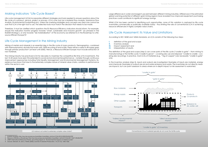## Making Indicators "Life Cycle Based"

Life cycle management (LCM) incorporates different strategies and tools needed to answer questions about the life cycle of a product, service, project or process. LCA is one tool (as is Material Flow Analysis, Substance Flow Analysis, Environmental Footprinting etc). Unless the overlying strategies and concepts are clear one cannot be sure that LCA is the right tool to use. The selected tools must match the decision that needs to be made.

The mining industry has practiced LCM for decades to maximise the competitive life-time of its investments. The last 15-20 years have seen this extended to social and environmental performance – notably through continuous improvement approaches including Total Quality Management and Environmental Management Systems. Experience has shown that due to the extremely complex nature of mineral value chains, variation in performance within the sector is vast.

Therefore, it must be clarified which questions the EU Resource Efficiency indicators should inform. For example, should the indicators monitor progress towards "smart, sustainable and inclusive growth" (as phrased in the EU2020 Strategy'), or only towards "de-materialisation" of the economy (as referred to in the Roadmap to a Resource Efficient Europe2 )?

#### Life Cycle Management in the Mining Industry

Mining of metals and minerals is an essential step in the life cycle of many products. Demographics, combined with thermodynamics dictate that even with 100% recycling at end-of-life, there will be a need to fill supply gaps through primary production<sup>3</sup> (at least until 2050). Hence, a Resource Efficient Europe must include extraction of raw materials.

1 EU2020 Strategy http://eur-lex.europa.eu/LexUriServ/LexUriServ.do?uri=COM:2010:2020:FIN:EN:PDF

2 Resource Efficiency Roadmap http://eur-lex.europa.eu/LexUriServ/LexUriServ.do?uri=COM:2011:0571:FIN:EN:PDF

3 UNEP International Resource Panel, upcoming report on "Environmental Aspects of Metal Cycles"

4 Source: Stewart, M. and J. Petrie (2006) Journal of Cleaner Production, 14 (12-13), 1042-1056

Large differences in water and reagent use exist between different mining industries. Differences in the estimated global warming potential of different gold mining regions have revealed how improved equipment purchasing practices could contribute to significant energy savings.

Whilst LCM has been central to identifying such opportunities, none of this variation is captured by life cycle inventories commercially or publically available today - thus limiting the role of conventional LCA in achieving resource efficiencies in highly complex value chains.

# Life Cycle Assessment: its Value and Limitations

According to ISO 14040 and 14044 standards, an LCA consists of the following four steps:

- **I.** definition of the goal and scope
- **II.** Inventory analysis
- **III.** Impact assessment and
- **IV.** Interpretation of results.

The definition of the goal and scope (step I) can cover parts of the life cycle ("cradle to gate" – from mining to manufacturing) or the full life cycle ("cradle to grave" – covering also use and disposal; "cradle-to-cradle – covering also recycling). In practice, most LCAs of materials (e.g., "1kg of copper") are necessarily "cradle to gate" only.

In the Inventory analysis (step II), inputs and outputs are investigated. Examples of inputs are materials, energy and chemicals. Examples of outputs are air and water emissions and waste. The inventories do not directly measure *impacts*, but can point assessors to areas where an in-depth impact or risk assessment is warranted.

*Conventional LCAs of materials typically do not cover the full life-cycle.*





*LCA alone is not suited to extremely complex value chains4.*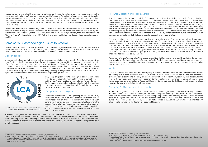The impact assessment (step III) evaluates the potential contribution to certain impact categories such as global warming, acidification etc. These are then allocated to "Areas of Protection" of concern to the study (e.g., Human Health or Natural Resources). The choice of impact categories is subjective and often decisive – sometimes magnifying inherent uncertainties to unacceptable levels. Such "end-point modelling" also masks information about where the greatest potential for environmental impact may occur (as in complex supply chains as described above).

The interpretation (step IV) analyses major contributions to potential impacts and model sensitivities. All conclusions are drafted during this phase. Sometimes, an independent critical review is undertaken. However, regardless of statistical uncertainties, or the consensus surrounding the methodology applied, there can generally be no "right" or "wrong" interpretation of an LCA. Rather, it provides insights that might support or moderate a certain decision.

# Some Serious Methodological Issues to Resolve

The European Commission wishes to provide market incentives for good environmental performance of products throughout the whole life cycle – "transforming the economy". For this, finalisation of sufficiently accurate indicators by the end of 2013 will be extremely difficult. The work should continue beyond 2013.

#### Goal and scope

Important distinctions are to be made between resources; materials; and products. Current misunderstandings are reflected in the focus on depletion of mineral resources (as opposed to consumables); on cradle-to-gate LCAs of metals (as opposed to cradle-to-cradle); and on use of data from one material for LCA of another. Published LCAs of products containing metals and minerals often suffer from poor scoping, e.g., incomplete accounting of the energy intensity of production and the energy consumption of products in use. Additionally, LCA is not easily adapted to the fact that the mining, smelting, refining and use of a metal do not usually result in significant emissions of the metal itself, despite the large tonnages involved.

> Only complete product LCAs can begin to account for benefits in use (e.g., conductivity, malleability, strength, durability, recyclability etc.). Therefore, LCAs of raw materials ("cradle-to-gate") should only ever be considered in combination with the products in which they are used ("gate-to-cradle"), such that a "cradleto-cradle" scope is constructed.

#### Life Cycle Impact Categories

Characterization models for Life Cycle impact assessment (LCIA) have been developed to cover a variety of substances and circumstances which are typically assessed within a life cycle. Such generic models show obvious weaknesses in situations where the cause-effect chain is particularly complex (e.g., mining and minerals) and in case of poor scientific consensus on the modelling approach to be used (e.g., abiotic resource depletion). These need to be kept in mind.

Many input categories are sufficiently well developed. The UNEP/SETAC Life Cycle Initiative has improved incorporation of metals toxicity into LCAs56. The next priorities, from a Euromines perspective, are likely the assessment of resource depletion, water consumption and land-use. None of these have sufficiently robust impact characterization models available and all of them are central to current EU proposals, so urgent development work is clearly required.



#### Resource Depletion (materials & water)

If applied incorrectly, "resource depletion", "material footprint" and "material consumption" concepts divert attention away from the environmental impacts of dispersive use and release by over-estimating the environmental impact of resource extraction (e.g., mining of phosphate rock, abstraction of water). Recent EU-funded research has revealed that current assessments of "Abiotic Resource Depletion" vary by several orders of magnitude and that there is no consensus amongst LCA practitioners on the issue of concern that this impact category should be addressing7 . In practice, some LCAs have prioritised "conservation" of abundant mineral resources over more pressing environmental concerns such as emissions of CO2, eutrophication and habitat fragmentation. Insufficiently informed interpretation of these studies (e.g., by a member of the public confronted with an aggregated indicator), is likely to lead to counter-productive diversion of effort.

As several geologists and resource economists have shown, "depletion" of mineral resources is not likely enough to be systematically included as an impact category in LCIA<sup>8910</sup>. "Scarcity" of these raw-materials is an economic issue arising from a lack of efficient forward-looking use of capital and not indicative of any environmental impact. Rather than being depleted, the majority of mineral resources are used to continuously serve valuable purposes in the built environment. The Resource Depletion impact category should therefore only be included in LCIAs of products that are consumed (typically those derived from biotic resources such as fish, crops, some forest products, livestock, foodstuffs, oil, gas, peat and coal) for which there may be imminent risk of environmental impacts if stocks cannot be regenerated.

Assessment of water "consumption" is plagued by significant differences in water quality and abundance in specific locations. LCM tools other than LCA and the Water Footprint are needed to address potential impacts on the water needs of communities and the environment (e.g., assessment of process or project life cycles, rather than product life cycles).

#### **Waste**

LCA tries to make visible the fact that emitting 1kg of mercury does not have the same environmental impact as emitting 1kg of sand. However, current LCA models make no distinction between the size and content of different waste streams, and the likely release of pollutants from their treatment, recovery and disposal. For this reason, the European Commission Joint Research Centre specifically recommends excluding extractive wastes from macro-economic indicators of Resource Efficiency. Command-and-Control legislation is already in place to prevent damaging emissions from these wastes.

#### Balancing Positive and Negative Impacts

Mining can bring social and economic benefits to local populations (e.g. better education and living conditions, improved income and better stewardship of the surrounding environment), but a lack of appropriate governance can mean that sometimes it doesn't. Even where good governance is relatively assured, the social benefits accrued along the value chain of metals and minerals– including the continuous societal value of stable and durable materials in use and in recycling loops - are not captured by LCA alone. LCA must be supplemented with other tools to provide valid indicators of Resource Efficiency.

*LCAs of raw materials should only be considered together with a product in which they are used*

<sup>5</sup> http://www.leidenuniv.nl/cml/ssp/projects/declaration\_of\_apeldoorn.pdf

<sup>6</sup> Diamond, M. L., N. Gandhi, W. J. Adams, J. Atherton, S. P. Bhavsar, C. Bulle, P. G. C. Campbell, A. Dubreuil, A. Fairbrother, K. Farley, A. Green, J. Guinee, M. Z. Hauschild, M. A. J. Huijbregts, S. Humbert, K. S. Jensen, O. Jolliet, M. Margni, J. C. McGeer, W. Peijnenburg, R. Rosenbaum, D. van de Meent and M. G. Vijver (2010). The clearwater consensus: the estimation of metal hazard in fresh water. Int. J.

<sup>7</sup> http://www.lc-impact.eu/workshop-resource-depletion

<sup>8</sup> Crowson (2011), "Changing yields and ore grades", Mining Journal, October 7, 2011

<sup>9</sup> Soderholm (2011), "Taxing Virgin Natural Resources: Lessons from Aggregates Taxation in Europe" Submitted to Resources, Conservation and Recycling, 2011

<sup>10</sup> http://ec.europa.eu/enterprise/policies/raw-materials/files/docs/report-b\_en.pdf